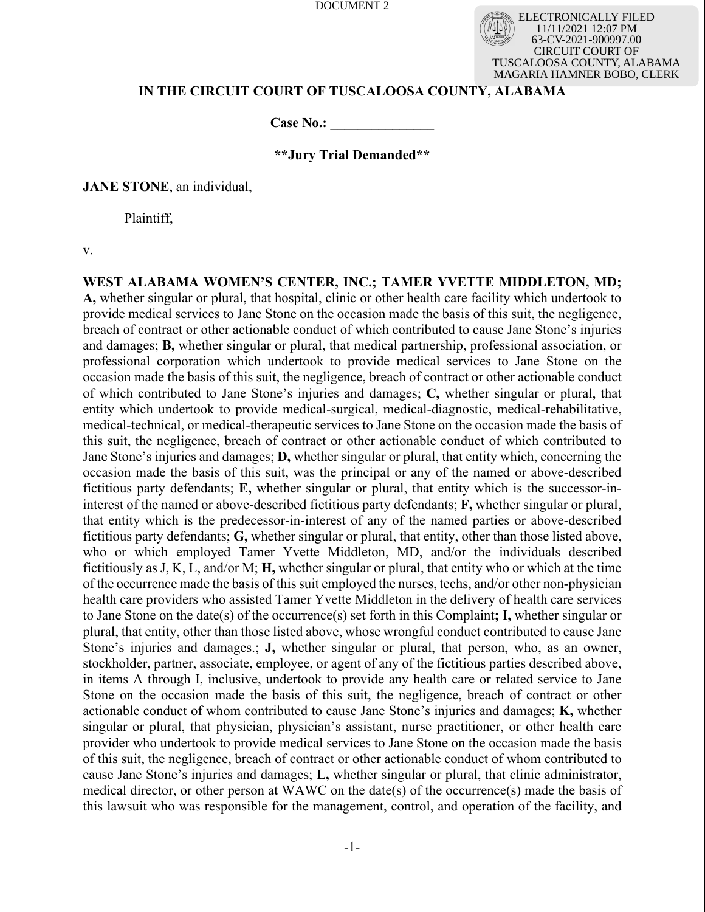ELECTRONICALLY FILED 11/11/2021 12:07 PM 63-CV-2021-900997.00 CIRCUIT COURT OF TUSCALOOSA COUNTY, ALABAMA MAGARIA HAMNER BOBO, CLERK

# **IN THE CIRCUIT COURT OF TUSCALOOSA COUNTY, ALABAMA**

**Case No.: \_\_\_\_\_\_\_\_\_\_\_\_\_\_\_**

# **\*\*Jury Trial Demanded\*\***

**JANE STONE**, an individual,

Plaintiff,

v.

**WEST ALABAMA WOMEN'S CENTER, INC.; TAMER YVETTE MIDDLETON, MD; A,** whether singular or plural, that hospital, clinic or other health care facility which undertook to provide medical services to Jane Stone on the occasion made the basis of this suit, the negligence, breach of contract or other actionable conduct of which contributed to cause Jane Stone's injuries and damages; **B,** whether singular or plural, that medical partnership, professional association, or professional corporation which undertook to provide medical services to Jane Stone on the occasion made the basis of this suit, the negligence, breach of contract or other actionable conduct of which contributed to Jane Stone's injuries and damages; **C,** whether singular or plural, that entity which undertook to provide medical-surgical, medical-diagnostic, medical-rehabilitative, medical-technical, or medical-therapeutic services to Jane Stone on the occasion made the basis of this suit, the negligence, breach of contract or other actionable conduct of which contributed to Jane Stone's injuries and damages; **D,** whether singular or plural, that entity which, concerning the occasion made the basis of this suit, was the principal or any of the named or above-described fictitious party defendants; **E,** whether singular or plural, that entity which is the successor-ininterest of the named or above-described fictitious party defendants; **F,** whether singular or plural, that entity which is the predecessor-in-interest of any of the named parties or above-described fictitious party defendants; **G,** whether singular or plural, that entity, other than those listed above, who or which employed Tamer Yvette Middleton, MD, and/or the individuals described fictitiously as J, K, L, and/or M; **H,** whether singular or plural, that entity who or which at the time of the occurrence made the basis of this suit employed the nurses, techs, and/or other non-physician health care providers who assisted Tamer Yvette Middleton in the delivery of health care services to Jane Stone on the date(s) of the occurrence(s) set forth in this Complaint**; I,** whether singular or plural, that entity, other than those listed above, whose wrongful conduct contributed to cause Jane Stone's injuries and damages.; **J,** whether singular or plural, that person, who, as an owner, stockholder, partner, associate, employee, or agent of any of the fictitious parties described above, in items A through I, inclusive, undertook to provide any health care or related service to Jane Stone on the occasion made the basis of this suit, the negligence, breach of contract or other actionable conduct of whom contributed to cause Jane Stone's injuries and damages; **K,** whether singular or plural, that physician, physician's assistant, nurse practitioner, or other health care provider who undertook to provide medical services to Jane Stone on the occasion made the basis of this suit, the negligence, breach of contract or other actionable conduct of whom contributed to cause Jane Stone's injuries and damages; **L,** whether singular or plural, that clinic administrator, medical director, or other person at WAWC on the date(s) of the occurrence(s) made the basis of this lawsuit who was responsible for the management, control, and operation of the facility, and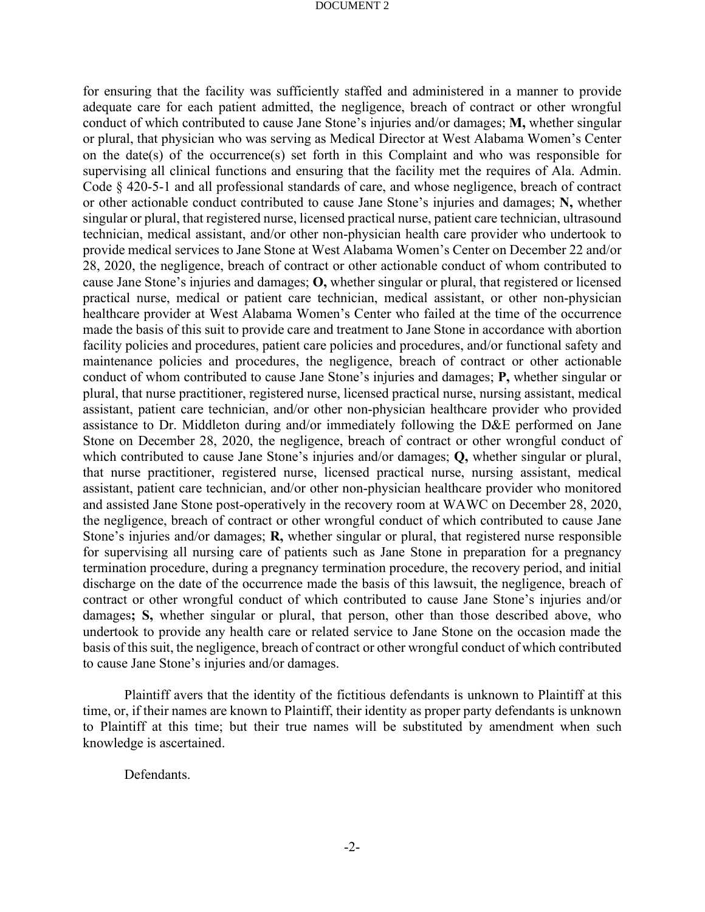for ensuring that the facility was sufficiently staffed and administered in a manner to provide adequate care for each patient admitted, the negligence, breach of contract or other wrongful conduct of which contributed to cause Jane Stone's injuries and/or damages; **M,** whether singular or plural, that physician who was serving as Medical Director at West Alabama Women's Center on the date(s) of the occurrence(s) set forth in this Complaint and who was responsible for supervising all clinical functions and ensuring that the facility met the requires of Ala. Admin. Code § 420-5-1 and all professional standards of care, and whose negligence, breach of contract or other actionable conduct contributed to cause Jane Stone's injuries and damages; **N,** whether singular or plural, that registered nurse, licensed practical nurse, patient care technician, ultrasound technician, medical assistant, and/or other non-physician health care provider who undertook to provide medical services to Jane Stone at West Alabama Women's Center on December 22 and/or 28, 2020, the negligence, breach of contract or other actionable conduct of whom contributed to cause Jane Stone's injuries and damages; **O,** whether singular or plural, that registered or licensed practical nurse, medical or patient care technician, medical assistant, or other non-physician healthcare provider at West Alabama Women's Center who failed at the time of the occurrence made the basis of this suit to provide care and treatment to Jane Stone in accordance with abortion facility policies and procedures, patient care policies and procedures, and/or functional safety and maintenance policies and procedures, the negligence, breach of contract or other actionable conduct of whom contributed to cause Jane Stone's injuries and damages; **P,** whether singular or plural, that nurse practitioner, registered nurse, licensed practical nurse, nursing assistant, medical assistant, patient care technician, and/or other non-physician healthcare provider who provided assistance to Dr. Middleton during and/or immediately following the D&E performed on Jane Stone on December 28, 2020, the negligence, breach of contract or other wrongful conduct of which contributed to cause Jane Stone's injuries and/or damages; **Q,** whether singular or plural, that nurse practitioner, registered nurse, licensed practical nurse, nursing assistant, medical assistant, patient care technician, and/or other non-physician healthcare provider who monitored and assisted Jane Stone post-operatively in the recovery room at WAWC on December 28, 2020, the negligence, breach of contract or other wrongful conduct of which contributed to cause Jane Stone's injuries and/or damages; **R,** whether singular or plural, that registered nurse responsible for supervising all nursing care of patients such as Jane Stone in preparation for a pregnancy termination procedure, during a pregnancy termination procedure, the recovery period, and initial discharge on the date of the occurrence made the basis of this lawsuit, the negligence, breach of contract or other wrongful conduct of which contributed to cause Jane Stone's injuries and/or damages**; S,** whether singular or plural, that person, other than those described above, who undertook to provide any health care or related service to Jane Stone on the occasion made the basis of this suit, the negligence, breach of contract or other wrongful conduct of which contributed to cause Jane Stone's injuries and/or damages.

Plaintiff avers that the identity of the fictitious defendants is unknown to Plaintiff at this time, or, if their names are known to Plaintiff, their identity as proper party defendants is unknown to Plaintiff at this time; but their true names will be substituted by amendment when such knowledge is ascertained.

Defendants.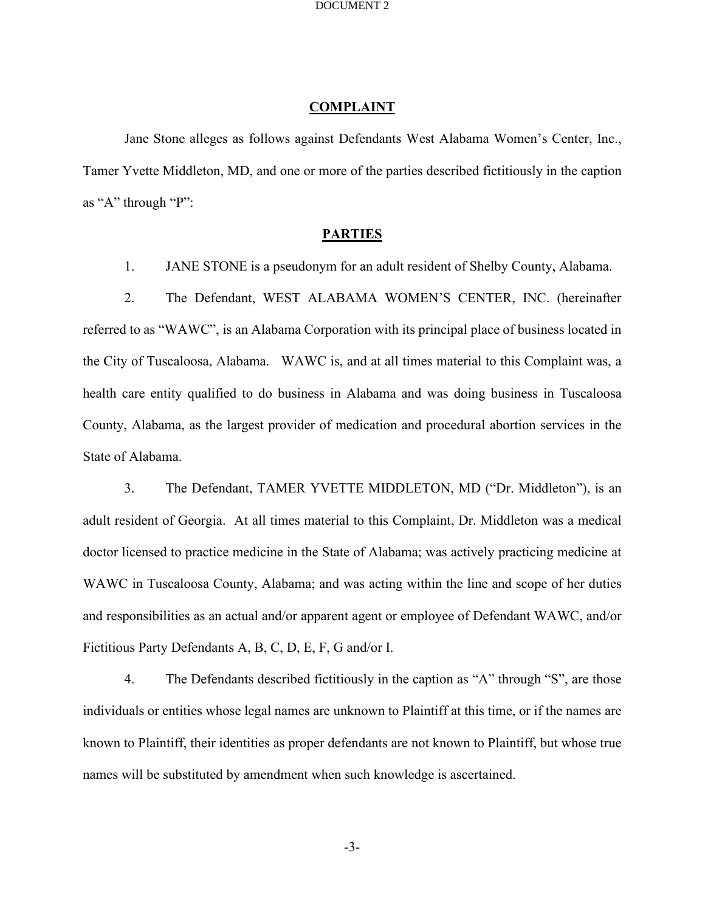## **COMPLAINT**

Jane Stone alleges as follows against Defendants West Alabama Women's Center, Inc., Tamer Yvette Middleton, MD, and one or more of the parties described fictitiously in the caption as "A" through "P":

# **PARTIES**

1. JANE STONE is a pseudonym for an adult resident of Shelby County, Alabama.

2. The Defendant, WEST ALABAMA WOMEN'S CENTER, INC. (hereinafter referred to as "WAWC", is an Alabama Corporation with its principal place of business located in the City of Tuscaloosa, Alabama. WAWC is, and at all times material to this Complaint was, a health care entity qualified to do business in Alabama and was doing business in Tuscaloosa County, Alabama, as the largest provider of medication and procedural abortion services in the State of Alabama.

3. The Defendant, TAMER YVETTE MIDDLETON, MD ("Dr. Middleton"), is an adult resident of Georgia. At all times material to this Complaint, Dr. Middleton was a medical doctor licensed to practice medicine in the State of Alabama; was actively practicing medicine at WAWC in Tuscaloosa County, Alabama; and was acting within the line and scope of her duties and responsibilities as an actual and/or apparent agent or employee of Defendant WAWC, and/or Fictitious Party Defendants A, B, C, D, E, F, G and/or I.

4. The Defendants described fictitiously in the caption as "A" through "S", are those individuals or entities whose legal names are unknown to Plaintiff at this time, or if the names are known to Plaintiff, their identities as proper defendants are not known to Plaintiff, but whose true names will be substituted by amendment when such knowledge is ascertained.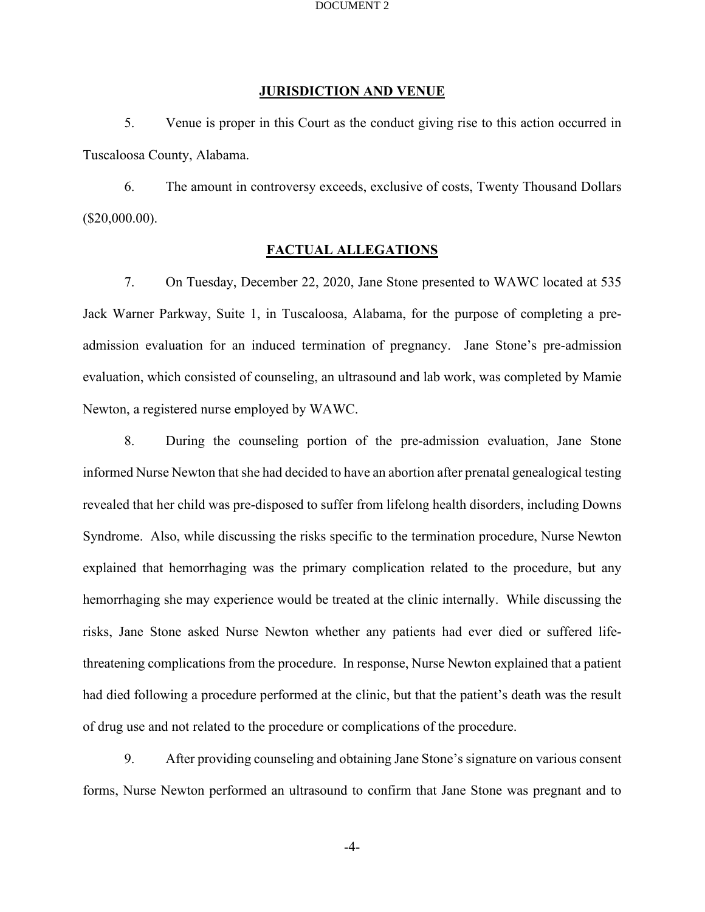## **JURISDICTION AND VENUE**

5. Venue is proper in this Court as the conduct giving rise to this action occurred in Tuscaloosa County, Alabama.

6. The amount in controversy exceeds, exclusive of costs, Twenty Thousand Dollars (\$20,000.00).

# **FACTUAL ALLEGATIONS**

7. On Tuesday, December 22, 2020, Jane Stone presented to WAWC located at 535 Jack Warner Parkway, Suite 1, in Tuscaloosa, Alabama, for the purpose of completing a preadmission evaluation for an induced termination of pregnancy. Jane Stone's pre-admission evaluation, which consisted of counseling, an ultrasound and lab work, was completed by Mamie Newton, a registered nurse employed by WAWC.

8. During the counseling portion of the pre-admission evaluation, Jane Stone informed Nurse Newton that she had decided to have an abortion after prenatal genealogical testing revealed that her child was pre-disposed to suffer from lifelong health disorders, including Downs Syndrome. Also, while discussing the risks specific to the termination procedure, Nurse Newton explained that hemorrhaging was the primary complication related to the procedure, but any hemorrhaging she may experience would be treated at the clinic internally. While discussing the risks, Jane Stone asked Nurse Newton whether any patients had ever died or suffered lifethreatening complications from the procedure. In response, Nurse Newton explained that a patient had died following a procedure performed at the clinic, but that the patient's death was the result of drug use and not related to the procedure or complications of the procedure.

9. After providing counseling and obtaining Jane Stone's signature on various consent forms, Nurse Newton performed an ultrasound to confirm that Jane Stone was pregnant and to

-4-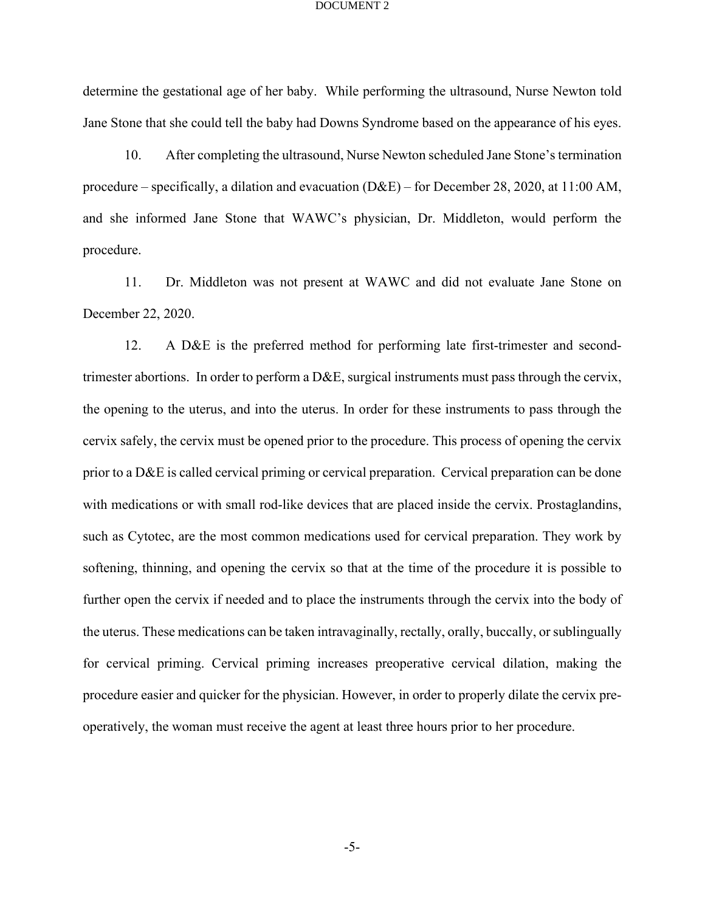determine the gestational age of her baby. While performing the ultrasound, Nurse Newton told Jane Stone that she could tell the baby had Downs Syndrome based on the appearance of his eyes.

10. After completing the ultrasound, Nurse Newton scheduled Jane Stone's termination procedure – specifically, a dilation and evacuation (D&E) – for December 28, 2020, at 11:00 AM, and she informed Jane Stone that WAWC's physician, Dr. Middleton, would perform the procedure.

11. Dr. Middleton was not present at WAWC and did not evaluate Jane Stone on December 22, 2020.

12. A D&E is the preferred method for performing late first-trimester and secondtrimester abortions. In order to perform a D&E, surgical instruments must pass through the cervix, the opening to the uterus, and into the uterus. In order for these instruments to pass through the cervix safely, the cervix must be opened prior to the procedure. This process of opening the cervix prior to a D&E is called cervical priming or cervical preparation. Cervical preparation can be done with medications or with small rod-like devices that are placed inside the cervix. Prostaglandins, such as Cytotec, are the most common medications used for cervical preparation. They work by softening, thinning, and opening the cervix so that at the time of the procedure it is possible to further open the cervix if needed and to place the instruments through the cervix into the body of the uterus. These medications can be taken intravaginally, rectally, orally, buccally, or sublingually for cervical priming. Cervical priming increases preoperative cervical dilation, making the procedure easier and quicker for the physician. However, in order to properly dilate the cervix preoperatively, the woman must receive the agent at least three hours prior to her procedure.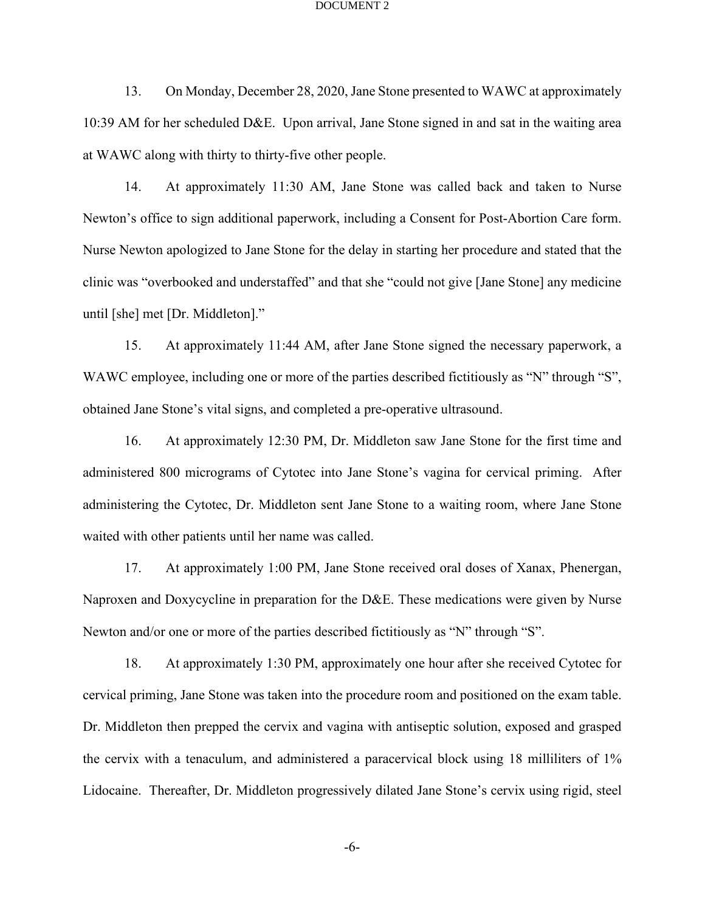13. On Monday, December 28, 2020, Jane Stone presented to WAWC at approximately 10:39 AM for her scheduled D&E. Upon arrival, Jane Stone signed in and sat in the waiting area at WAWC along with thirty to thirty-five other people.

14. At approximately 11:30 AM, Jane Stone was called back and taken to Nurse Newton's office to sign additional paperwork, including a Consent for Post-Abortion Care form. Nurse Newton apologized to Jane Stone for the delay in starting her procedure and stated that the clinic was "overbooked and understaffed" and that she "could not give [Jane Stone] any medicine until [she] met [Dr. Middleton]."

15. At approximately 11:44 AM, after Jane Stone signed the necessary paperwork, a WAWC employee, including one or more of the parties described fictitiously as "N" through "S", obtained Jane Stone's vital signs, and completed a pre-operative ultrasound.

16. At approximately 12:30 PM, Dr. Middleton saw Jane Stone for the first time and administered 800 micrograms of Cytotec into Jane Stone's vagina for cervical priming. After administering the Cytotec, Dr. Middleton sent Jane Stone to a waiting room, where Jane Stone waited with other patients until her name was called.

17. At approximately 1:00 PM, Jane Stone received oral doses of Xanax, Phenergan, Naproxen and Doxycycline in preparation for the D&E. These medications were given by Nurse Newton and/or one or more of the parties described fictitiously as "N" through "S".

18. At approximately 1:30 PM, approximately one hour after she received Cytotec for cervical priming, Jane Stone was taken into the procedure room and positioned on the exam table. Dr. Middleton then prepped the cervix and vagina with antiseptic solution, exposed and grasped the cervix with a tenaculum, and administered a paracervical block using 18 milliliters of 1% Lidocaine. Thereafter, Dr. Middleton progressively dilated Jane Stone's cervix using rigid, steel

-6-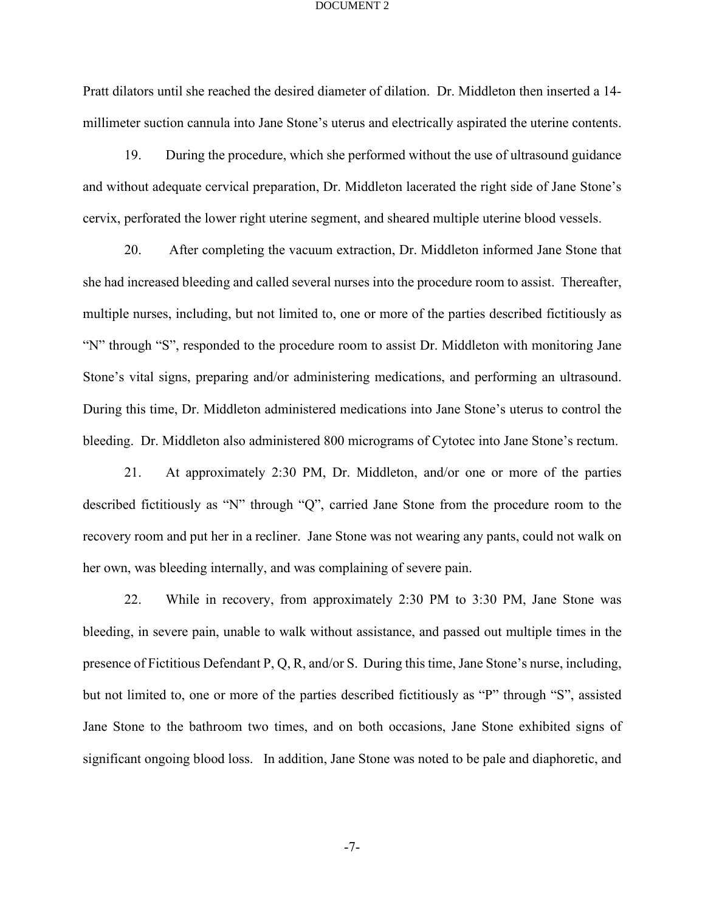Pratt dilators until she reached the desired diameter of dilation. Dr. Middleton then inserted a 14 millimeter suction cannula into Jane Stone's uterus and electrically aspirated the uterine contents.

19. During the procedure, which she performed without the use of ultrasound guidance and without adequate cervical preparation, Dr. Middleton lacerated the right side of Jane Stone's cervix, perforated the lower right uterine segment, and sheared multiple uterine blood vessels.

20. After completing the vacuum extraction, Dr. Middleton informed Jane Stone that she had increased bleeding and called several nurses into the procedure room to assist. Thereafter, multiple nurses, including, but not limited to, one or more of the parties described fictitiously as "N" through "S", responded to the procedure room to assist Dr. Middleton with monitoring Jane Stone's vital signs, preparing and/or administering medications, and performing an ultrasound. During this time, Dr. Middleton administered medications into Jane Stone's uterus to control the bleeding. Dr. Middleton also administered 800 micrograms of Cytotec into Jane Stone's rectum.

21. At approximately 2:30 PM, Dr. Middleton, and/or one or more of the parties described fictitiously as "N" through "Q", carried Jane Stone from the procedure room to the recovery room and put her in a recliner. Jane Stone was not wearing any pants, could not walk on her own, was bleeding internally, and was complaining of severe pain.

22. While in recovery, from approximately 2:30 PM to 3:30 PM, Jane Stone was bleeding, in severe pain, unable to walk without assistance, and passed out multiple times in the presence of Fictitious Defendant P, Q, R, and/or S. During this time, Jane Stone's nurse, including, but not limited to, one or more of the parties described fictitiously as "P" through "S", assisted Jane Stone to the bathroom two times, and on both occasions, Jane Stone exhibited signs of significant ongoing blood loss. In addition, Jane Stone was noted to be pale and diaphoretic, and

-7-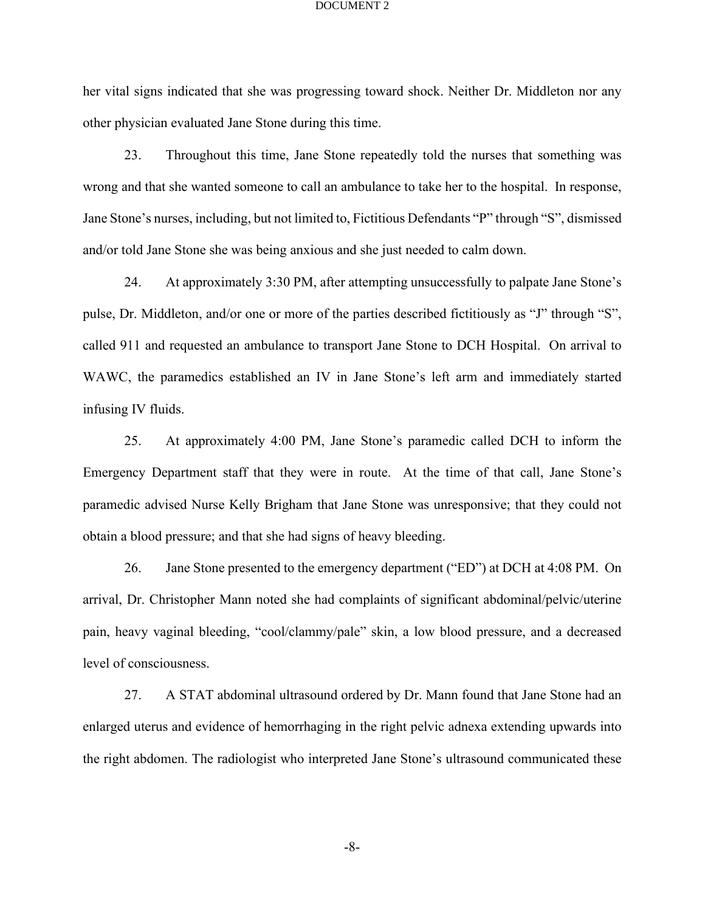her vital signs indicated that she was progressing toward shock. Neither Dr. Middleton nor any other physician evaluated Jane Stone during this time.

23. Throughout this time, Jane Stone repeatedly told the nurses that something was wrong and that she wanted someone to call an ambulance to take her to the hospital. In response, Jane Stone's nurses, including, but not limited to, Fictitious Defendants "P" through "S", dismissed and/or told Jane Stone she was being anxious and she just needed to calm down.

24. At approximately 3:30 PM, after attempting unsuccessfully to palpate Jane Stone's pulse, Dr. Middleton, and/or one or more of the parties described fictitiously as "J" through "S", called 911 and requested an ambulance to transport Jane Stone to DCH Hospital. On arrival to WAWC, the paramedics established an IV in Jane Stone's left arm and immediately started infusing IV fluids.

25. At approximately 4:00 PM, Jane Stone's paramedic called DCH to inform the Emergency Department staff that they were in route. At the time of that call, Jane Stone's paramedic advised Nurse Kelly Brigham that Jane Stone was unresponsive; that they could not obtain a blood pressure; and that she had signs of heavy bleeding.

26. Jane Stone presented to the emergency department ("ED") at DCH at 4:08 PM. On arrival, Dr. Christopher Mann noted she had complaints of significant abdominal/pelvic/uterine pain, heavy vaginal bleeding, "cool/clammy/pale" skin, a low blood pressure, and a decreased level of consciousness.

27. A STAT abdominal ultrasound ordered by Dr. Mann found that Jane Stone had an enlarged uterus and evidence of hemorrhaging in the right pelvic adnexa extending upwards into the right abdomen. The radiologist who interpreted Jane Stone's ultrasound communicated these

-8-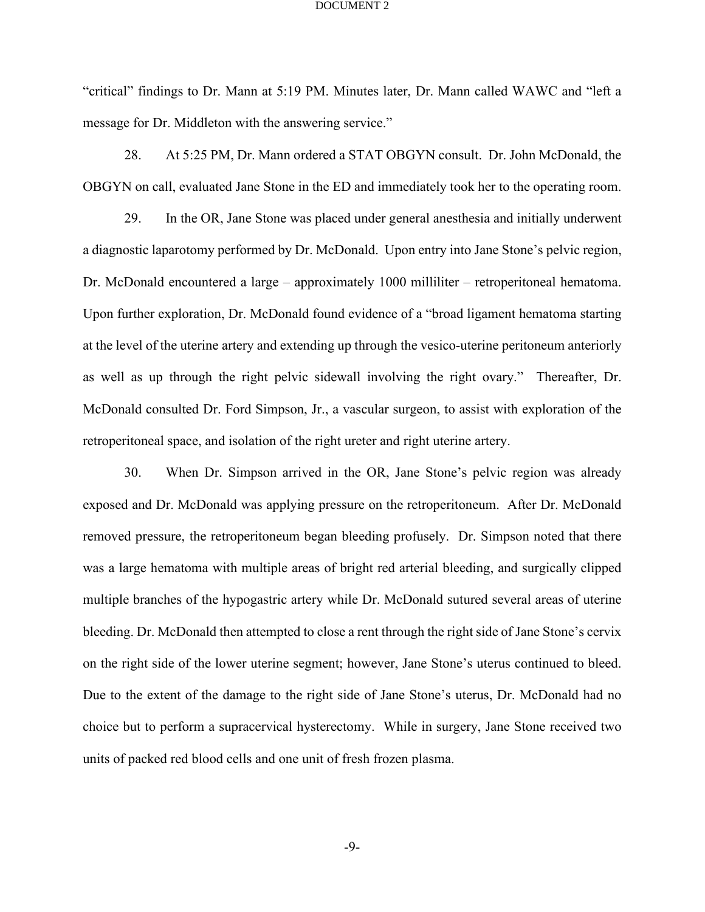"critical" findings to Dr. Mann at 5:19 PM. Minutes later, Dr. Mann called WAWC and "left a message for Dr. Middleton with the answering service."

28. At 5:25 PM, Dr. Mann ordered a STAT OBGYN consult. Dr. John McDonald, the OBGYN on call, evaluated Jane Stone in the ED and immediately took her to the operating room.

29. In the OR, Jane Stone was placed under general anesthesia and initially underwent a diagnostic laparotomy performed by Dr. McDonald. Upon entry into Jane Stone's pelvic region, Dr. McDonald encountered a large – approximately 1000 milliliter – retroperitoneal hematoma. Upon further exploration, Dr. McDonald found evidence of a "broad ligament hematoma starting at the level of the uterine artery and extending up through the vesico-uterine peritoneum anteriorly as well as up through the right pelvic sidewall involving the right ovary." Thereafter, Dr. McDonald consulted Dr. Ford Simpson, Jr., a vascular surgeon, to assist with exploration of the retroperitoneal space, and isolation of the right ureter and right uterine artery.

30. When Dr. Simpson arrived in the OR, Jane Stone's pelvic region was already exposed and Dr. McDonald was applying pressure on the retroperitoneum. After Dr. McDonald removed pressure, the retroperitoneum began bleeding profusely. Dr. Simpson noted that there was a large hematoma with multiple areas of bright red arterial bleeding, and surgically clipped multiple branches of the hypogastric artery while Dr. McDonald sutured several areas of uterine bleeding. Dr. McDonald then attempted to close a rent through the right side of Jane Stone's cervix on the right side of the lower uterine segment; however, Jane Stone's uterus continued to bleed. Due to the extent of the damage to the right side of Jane Stone's uterus, Dr. McDonald had no choice but to perform a supracervical hysterectomy. While in surgery, Jane Stone received two units of packed red blood cells and one unit of fresh frozen plasma.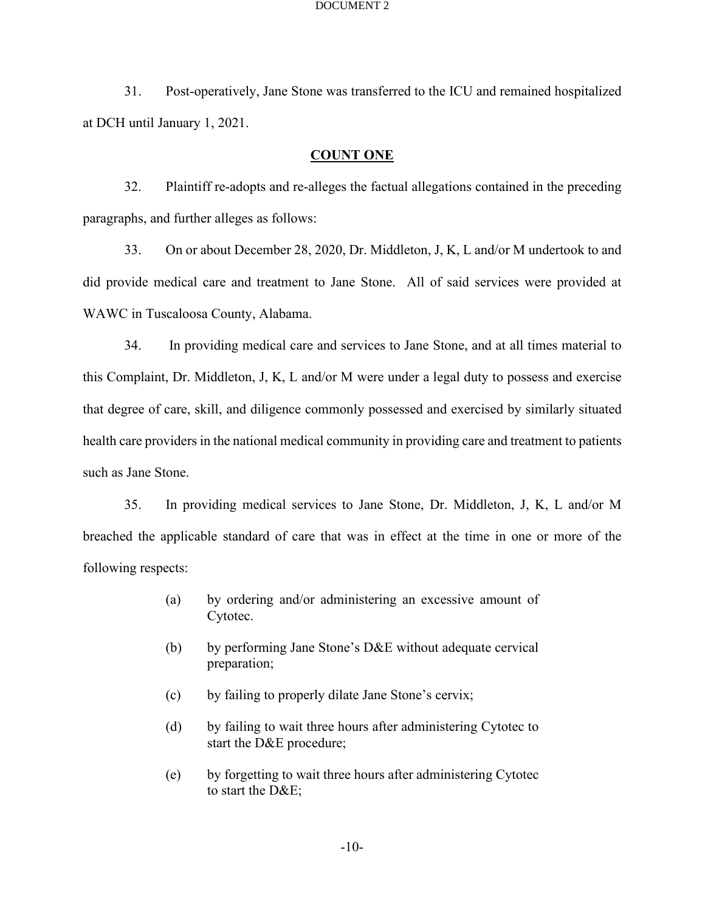31. Post-operatively, Jane Stone was transferred to the ICU and remained hospitalized at DCH until January 1, 2021.

## **COUNT ONE**

32. Plaintiff re-adopts and re-alleges the factual allegations contained in the preceding paragraphs, and further alleges as follows:

33. On or about December 28, 2020, Dr. Middleton, J, K, L and/or M undertook to and did provide medical care and treatment to Jane Stone. All of said services were provided at WAWC in Tuscaloosa County, Alabama.

34. In providing medical care and services to Jane Stone, and at all times material to this Complaint, Dr. Middleton, J, K, L and/or M were under a legal duty to possess and exercise that degree of care, skill, and diligence commonly possessed and exercised by similarly situated health care providers in the national medical community in providing care and treatment to patients such as Jane Stone.

35. In providing medical services to Jane Stone, Dr. Middleton, J, K, L and/or M breached the applicable standard of care that was in effect at the time in one or more of the following respects:

- (a) by ordering and/or administering an excessive amount of Cytotec.
- (b) by performing Jane Stone's  $D&E$  without adequate cervical preparation;
- (c) by failing to properly dilate Jane Stone's cervix;
- (d) by failing to wait three hours after administering Cytotec to start the D&E procedure;
- (e) by forgetting to wait three hours after administering Cytotec to start the D&E;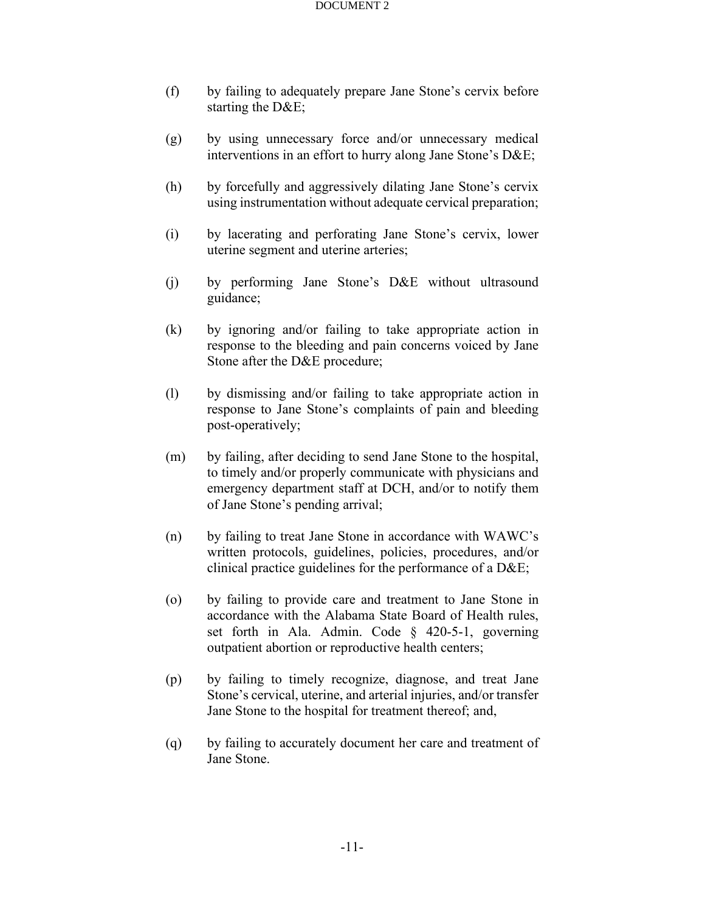- (f) by failing to adequately prepare Jane Stone's cervix before starting the D&E;
- (g) by using unnecessary force and/or unnecessary medical interventions in an effort to hurry along Jane Stone's D&E;
- (h) by forcefully and aggressively dilating Jane Stone's cervix using instrumentation without adequate cervical preparation;
- (i) by lacerating and perforating Jane Stone's cervix, lower uterine segment and uterine arteries;
- (j) by performing Jane Stone's D&E without ultrasound guidance;
- (k) by ignoring and/or failing to take appropriate action in response to the bleeding and pain concerns voiced by Jane Stone after the D&E procedure;
- (l) by dismissing and/or failing to take appropriate action in response to Jane Stone's complaints of pain and bleeding post-operatively;
- (m) by failing, after deciding to send Jane Stone to the hospital, to timely and/or properly communicate with physicians and emergency department staff at DCH, and/or to notify them of Jane Stone's pending arrival;
- (n) by failing to treat Jane Stone in accordance with WAWC's written protocols, guidelines, policies, procedures, and/or clinical practice guidelines for the performance of a D&E;
- (o) by failing to provide care and treatment to Jane Stone in accordance with the Alabama State Board of Health rules, set forth in Ala. Admin. Code § 420-5-1, governing outpatient abortion or reproductive health centers;
- (p) by failing to timely recognize, diagnose, and treat Jane Stone's cervical, uterine, and arterial injuries, and/or transfer Jane Stone to the hospital for treatment thereof; and,
- (q) by failing to accurately document her care and treatment of Jane Stone.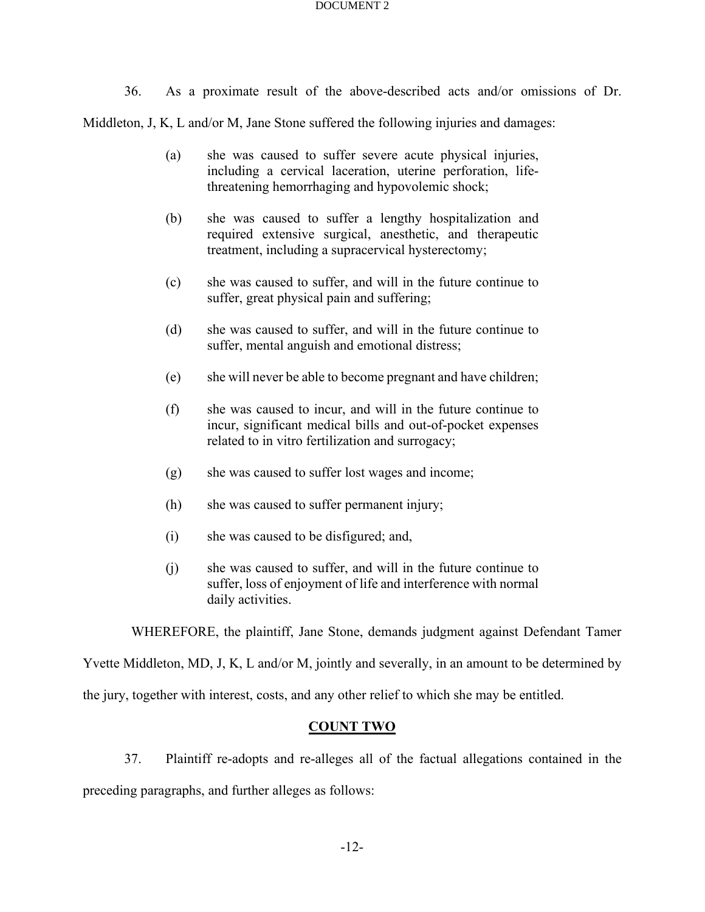36. As a proximate result of the above-described acts and/or omissions of Dr.

Middleton, J, K, L and/or M, Jane Stone suffered the following injuries and damages:

- (a) she was caused to suffer severe acute physical injuries, including a cervical laceration, uterine perforation, lifethreatening hemorrhaging and hypovolemic shock;
- (b) she was caused to suffer a lengthy hospitalization and required extensive surgical, anesthetic, and therapeutic treatment, including a supracervical hysterectomy;
- (c) she was caused to suffer, and will in the future continue to suffer, great physical pain and suffering;
- (d) she was caused to suffer, and will in the future continue to suffer, mental anguish and emotional distress;
- (e) she will never be able to become pregnant and have children;
- (f) she was caused to incur, and will in the future continue to incur, significant medical bills and out-of-pocket expenses related to in vitro fertilization and surrogacy;
- (g) she was caused to suffer lost wages and income;
- (h) she was caused to suffer permanent injury;
- (i) she was caused to be disfigured; and,
- (j) she was caused to suffer, and will in the future continue to suffer, loss of enjoyment of life and interference with normal daily activities.

WHEREFORE, the plaintiff, Jane Stone, demands judgment against Defendant Tamer

Yvette Middleton, MD, J, K, L and/or M, jointly and severally, in an amount to be determined by

the jury, together with interest, costs, and any other relief to which she may be entitled.

## **COUNT TWO**

37. Plaintiff re-adopts and re-alleges all of the factual allegations contained in the preceding paragraphs, and further alleges as follows: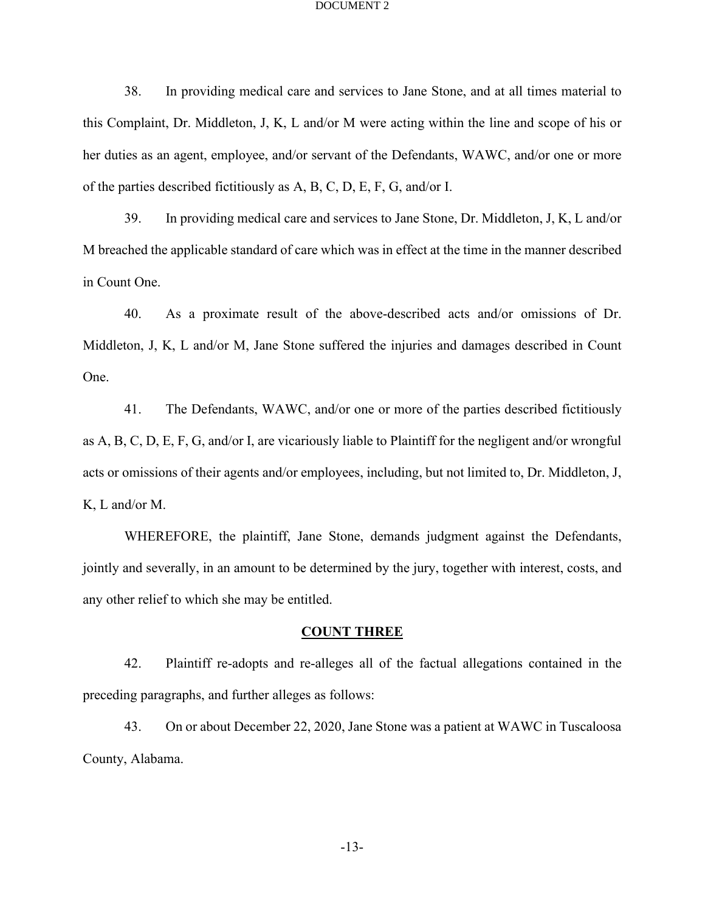38. In providing medical care and services to Jane Stone, and at all times material to this Complaint, Dr. Middleton, J, K, L and/or M were acting within the line and scope of his or her duties as an agent, employee, and/or servant of the Defendants, WAWC, and/or one or more of the parties described fictitiously as A, B, C, D, E, F, G, and/or I.

39. In providing medical care and services to Jane Stone, Dr. Middleton, J, K, L and/or M breached the applicable standard of care which was in effect at the time in the manner described in Count One.

40. As a proximate result of the above-described acts and/or omissions of Dr. Middleton, J, K, L and/or M, Jane Stone suffered the injuries and damages described in Count One.

41. The Defendants, WAWC, and/or one or more of the parties described fictitiously as A, B, C, D, E, F, G, and/or I, are vicariously liable to Plaintiff for the negligent and/or wrongful acts or omissions of their agents and/or employees, including, but not limited to, Dr. Middleton, J, K, L and/or M.

WHEREFORE, the plaintiff, Jane Stone, demands judgment against the Defendants, jointly and severally, in an amount to be determined by the jury, together with interest, costs, and any other relief to which she may be entitled.

## **COUNT THREE**

42. Plaintiff re-adopts and re-alleges all of the factual allegations contained in the preceding paragraphs, and further alleges as follows:

43. On or about December 22, 2020, Jane Stone was a patient at WAWC in Tuscaloosa County, Alabama.

-13-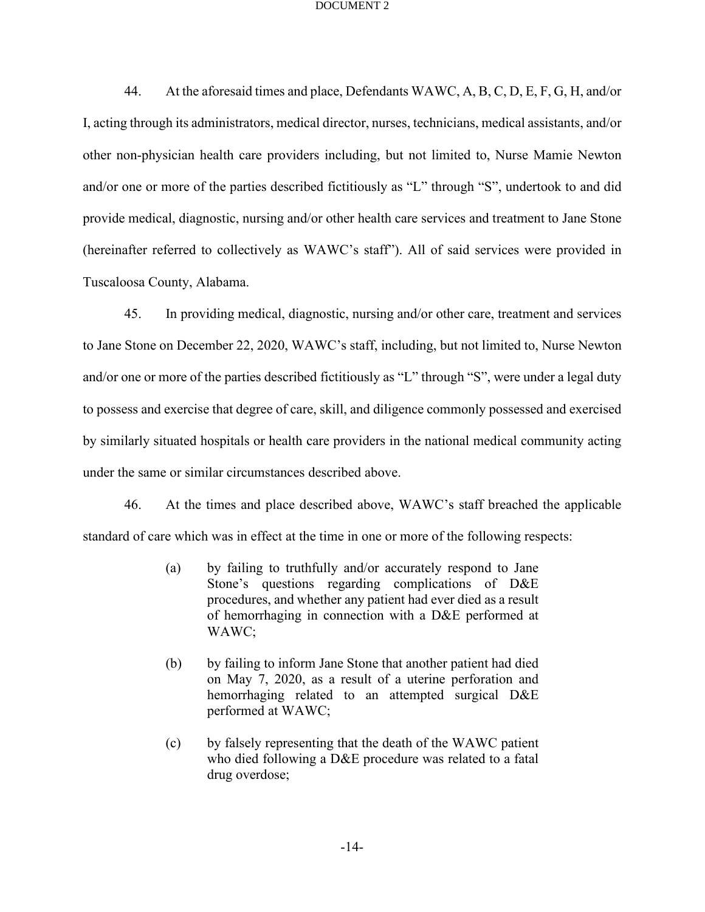44. At the aforesaid times and place, Defendants WAWC, A, B, C, D, E, F, G, H, and/or I, acting through its administrators, medical director, nurses, technicians, medical assistants, and/or other non-physician health care providers including, but not limited to, Nurse Mamie Newton and/or one or more of the parties described fictitiously as "L" through "S", undertook to and did provide medical, diagnostic, nursing and/or other health care services and treatment to Jane Stone (hereinafter referred to collectively as WAWC's staff"). All of said services were provided in Tuscaloosa County, Alabama.

45. In providing medical, diagnostic, nursing and/or other care, treatment and services to Jane Stone on December 22, 2020, WAWC's staff, including, but not limited to, Nurse Newton and/or one or more of the parties described fictitiously as "L" through "S", were under a legal duty to possess and exercise that degree of care, skill, and diligence commonly possessed and exercised by similarly situated hospitals or health care providers in the national medical community acting under the same or similar circumstances described above.

46. At the times and place described above, WAWC's staff breached the applicable standard of care which was in effect at the time in one or more of the following respects:

- (a) by failing to truthfully and/or accurately respond to Jane Stone's questions regarding complications of D&E procedures, and whether any patient had ever died as a result of hemorrhaging in connection with a D&E performed at WAWC;
- (b) by failing to inform Jane Stone that another patient had died on May 7, 2020, as a result of a uterine perforation and hemorrhaging related to an attempted surgical D&E performed at WAWC;
- (c) by falsely representing that the death of the WAWC patient who died following a D&E procedure was related to a fatal drug overdose;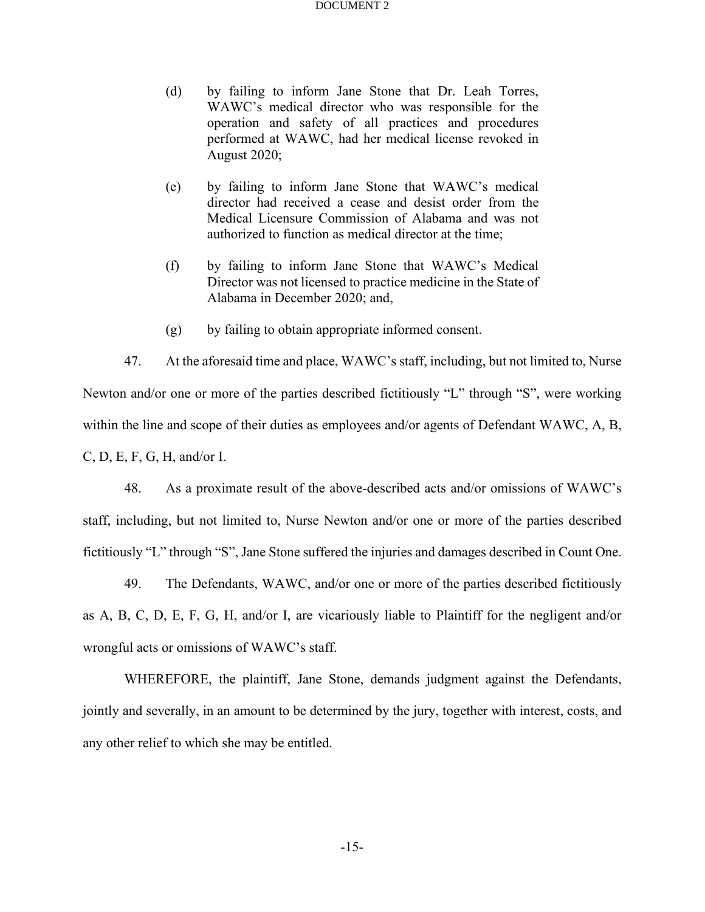- (d) by failing to inform Jane Stone that Dr. Leah Torres, WAWC's medical director who was responsible for the operation and safety of all practices and procedures performed at WAWC, had her medical license revoked in August 2020;
- (e) by failing to inform Jane Stone that WAWC's medical director had received a cease and desist order from the Medical Licensure Commission of Alabama and was not authorized to function as medical director at the time;
- (f) by failing to inform Jane Stone that WAWC's Medical Director was not licensed to practice medicine in the State of Alabama in December 2020; and,
- (g) by failing to obtain appropriate informed consent.

47. At the aforesaid time and place, WAWC's staff, including, but not limited to, Nurse Newton and/or one or more of the parties described fictitiously "L" through "S", were working within the line and scope of their duties as employees and/or agents of Defendant WAWC, A, B, C, D, E, F, G, H, and/or I.

48. As a proximate result of the above-described acts and/or omissions of WAWC's staff, including, but not limited to, Nurse Newton and/or one or more of the parties described fictitiously "L" through "S", Jane Stone suffered the injuries and damages described in Count One.

49. The Defendants, WAWC, and/or one or more of the parties described fictitiously as A, B, C, D, E, F, G, H, and/or I, are vicariously liable to Plaintiff for the negligent and/or wrongful acts or omissions of WAWC's staff.

WHEREFORE, the plaintiff, Jane Stone, demands judgment against the Defendants, jointly and severally, in an amount to be determined by the jury, together with interest, costs, and any other relief to which she may be entitled.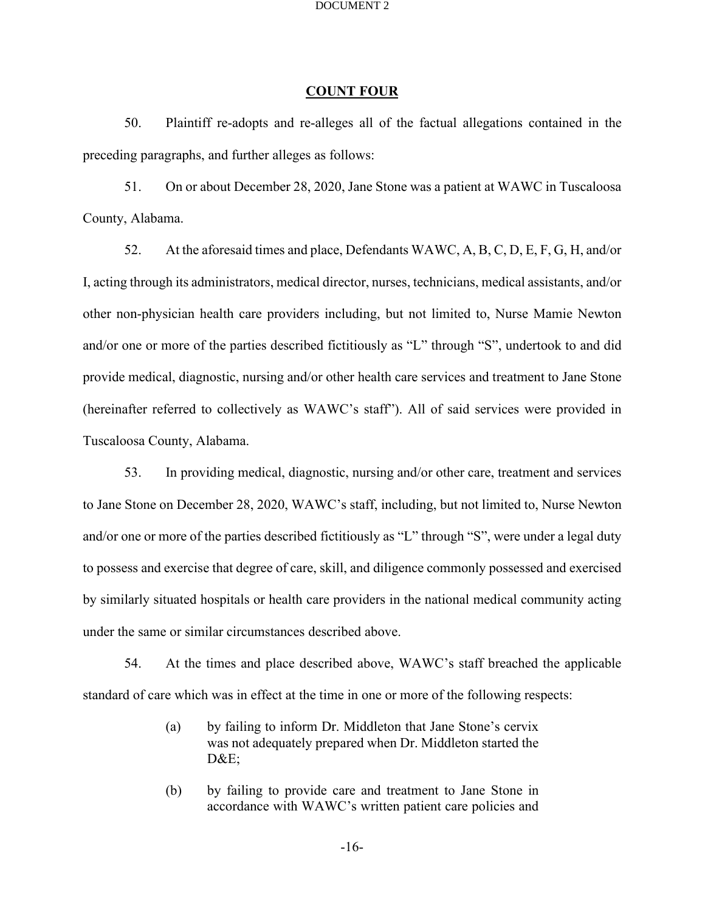## **COUNT FOUR**

50. Plaintiff re-adopts and re-alleges all of the factual allegations contained in the preceding paragraphs, and further alleges as follows:

51. On or about December 28, 2020, Jane Stone was a patient at WAWC in Tuscaloosa County, Alabama.

52. At the aforesaid times and place, Defendants WAWC, A, B, C, D, E, F, G, H, and/or I, acting through its administrators, medical director, nurses, technicians, medical assistants, and/or other non-physician health care providers including, but not limited to, Nurse Mamie Newton and/or one or more of the parties described fictitiously as "L" through "S", undertook to and did provide medical, diagnostic, nursing and/or other health care services and treatment to Jane Stone (hereinafter referred to collectively as WAWC's staff"). All of said services were provided in Tuscaloosa County, Alabama.

53. In providing medical, diagnostic, nursing and/or other care, treatment and services to Jane Stone on December 28, 2020, WAWC's staff, including, but not limited to, Nurse Newton and/or one or more of the parties described fictitiously as "L" through "S", were under a legal duty to possess and exercise that degree of care, skill, and diligence commonly possessed and exercised by similarly situated hospitals or health care providers in the national medical community acting under the same or similar circumstances described above.

54. At the times and place described above, WAWC's staff breached the applicable standard of care which was in effect at the time in one or more of the following respects:

- (a) by failing to inform Dr. Middleton that Jane Stone's cervix was not adequately prepared when Dr. Middleton started the D&E;
- (b) by failing to provide care and treatment to Jane Stone in accordance with WAWC's written patient care policies and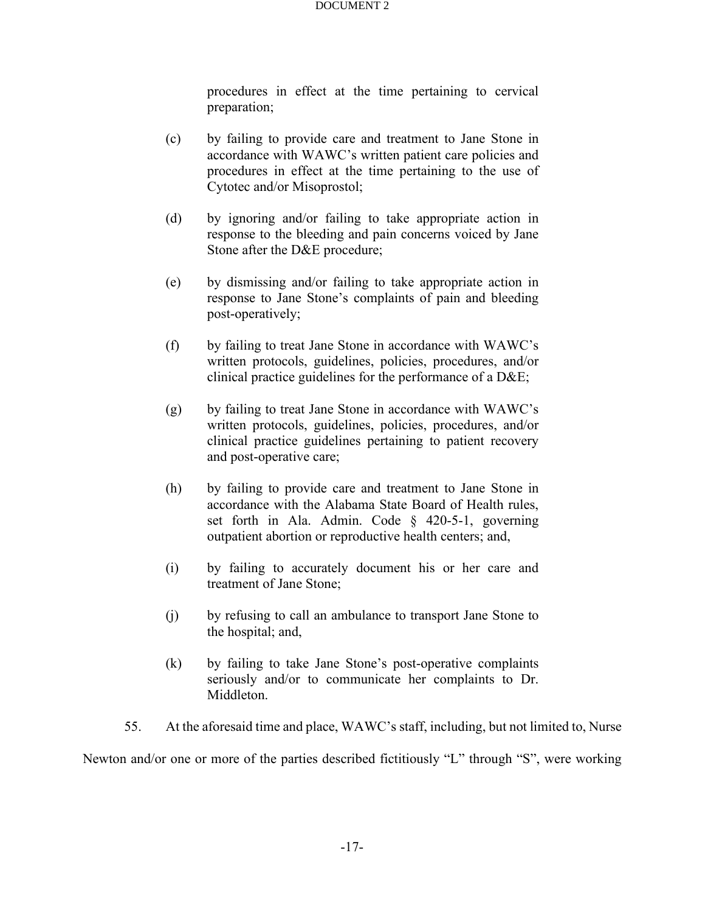procedures in effect at the time pertaining to cervical preparation;

- (c) by failing to provide care and treatment to Jane Stone in accordance with WAWC's written patient care policies and procedures in effect at the time pertaining to the use of Cytotec and/or Misoprostol;
- (d) by ignoring and/or failing to take appropriate action in response to the bleeding and pain concerns voiced by Jane Stone after the D&E procedure;
- (e) by dismissing and/or failing to take appropriate action in response to Jane Stone's complaints of pain and bleeding post-operatively;
- (f) by failing to treat Jane Stone in accordance with WAWC's written protocols, guidelines, policies, procedures, and/or clinical practice guidelines for the performance of a D&E;
- (g) by failing to treat Jane Stone in accordance with WAWC's written protocols, guidelines, policies, procedures, and/or clinical practice guidelines pertaining to patient recovery and post-operative care;
- (h) by failing to provide care and treatment to Jane Stone in accordance with the Alabama State Board of Health rules, set forth in Ala. Admin. Code § 420-5-1, governing outpatient abortion or reproductive health centers; and,
- (i) by failing to accurately document his or her care and treatment of Jane Stone;
- (j) by refusing to call an ambulance to transport Jane Stone to the hospital; and,
- (k) by failing to take Jane Stone's post-operative complaints seriously and/or to communicate her complaints to Dr. Middleton.

55. At the aforesaid time and place, WAWC's staff, including, but not limited to, Nurse

Newton and/or one or more of the parties described fictitiously "L" through "S", were working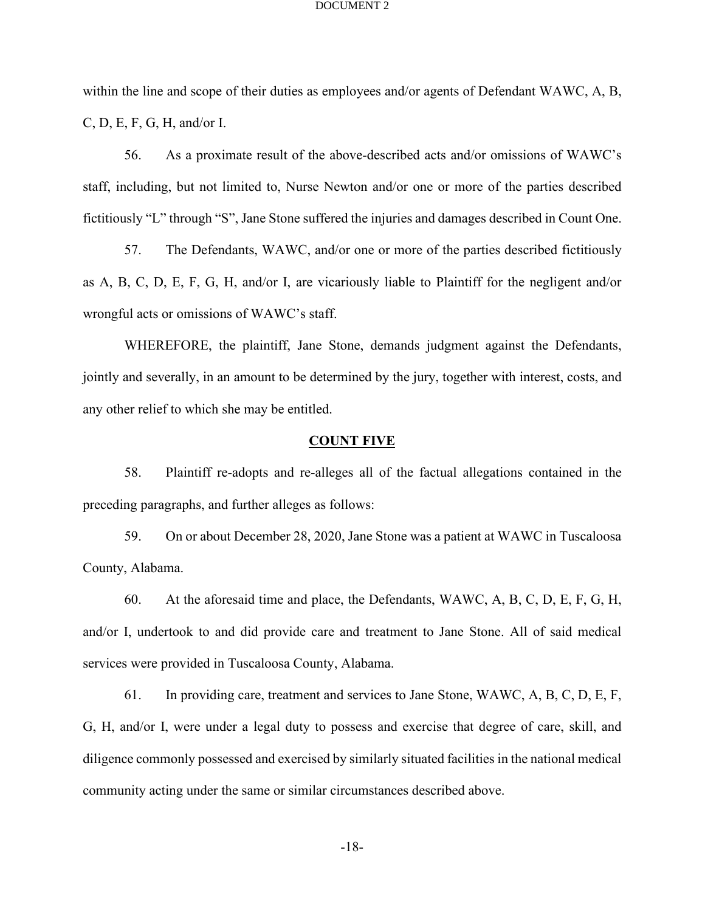within the line and scope of their duties as employees and/or agents of Defendant WAWC, A, B, C, D, E, F, G, H, and/or I.

56. As a proximate result of the above-described acts and/or omissions of WAWC's staff, including, but not limited to, Nurse Newton and/or one or more of the parties described fictitiously "L" through "S", Jane Stone suffered the injuries and damages described in Count One.

57. The Defendants, WAWC, and/or one or more of the parties described fictitiously as A, B, C, D, E, F, G, H, and/or I, are vicariously liable to Plaintiff for the negligent and/or wrongful acts or omissions of WAWC's staff.

WHEREFORE, the plaintiff, Jane Stone, demands judgment against the Defendants, jointly and severally, in an amount to be determined by the jury, together with interest, costs, and any other relief to which she may be entitled.

## **COUNT FIVE**

58. Plaintiff re-adopts and re-alleges all of the factual allegations contained in the preceding paragraphs, and further alleges as follows:

59. On or about December 28, 2020, Jane Stone was a patient at WAWC in Tuscaloosa County, Alabama.

60. At the aforesaid time and place, the Defendants, WAWC, A, B, C, D, E, F, G, H, and/or I, undertook to and did provide care and treatment to Jane Stone. All of said medical services were provided in Tuscaloosa County, Alabama.

61. In providing care, treatment and services to Jane Stone, WAWC, A, B, C, D, E, F, G, H, and/or I, were under a legal duty to possess and exercise that degree of care, skill, and diligence commonly possessed and exercised by similarly situated facilities in the national medical community acting under the same or similar circumstances described above.

-18-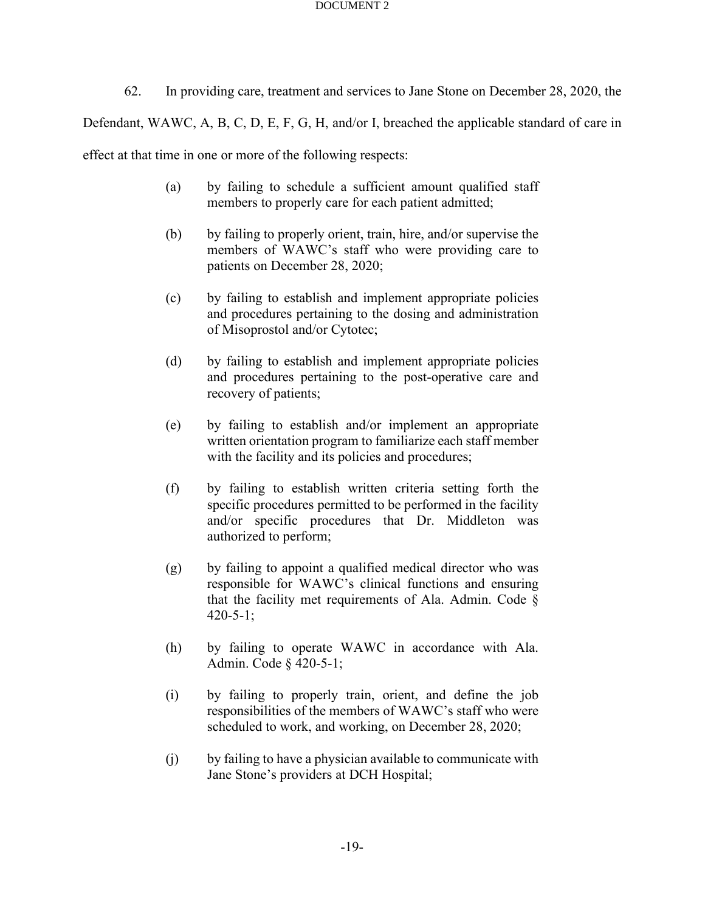62. In providing care, treatment and services to Jane Stone on December 28, 2020, the

Defendant, WAWC, A, B, C, D, E, F, G, H, and/or I, breached the applicable standard of care in

effect at that time in one or more of the following respects:

- (a) by failing to schedule a sufficient amount qualified staff members to properly care for each patient admitted;
- (b) by failing to properly orient, train, hire, and/or supervise the members of WAWC's staff who were providing care to patients on December 28, 2020;
- (c) by failing to establish and implement appropriate policies and procedures pertaining to the dosing and administration of Misoprostol and/or Cytotec;
- (d) by failing to establish and implement appropriate policies and procedures pertaining to the post-operative care and recovery of patients;
- (e) by failing to establish and/or implement an appropriate written orientation program to familiarize each staff member with the facility and its policies and procedures;
- (f) by failing to establish written criteria setting forth the specific procedures permitted to be performed in the facility and/or specific procedures that Dr. Middleton was authorized to perform;
- (g) by failing to appoint a qualified medical director who was responsible for WAWC's clinical functions and ensuring that the facility met requirements of Ala. Admin. Code  $\S$ 420-5-1;
- (h) by failing to operate WAWC in accordance with Ala. Admin. Code § 420-5-1;
- (i) by failing to properly train, orient, and define the job responsibilities of the members of WAWC's staff who were scheduled to work, and working, on December 28, 2020;
- (j) by failing to have a physician available to communicate with Jane Stone's providers at DCH Hospital;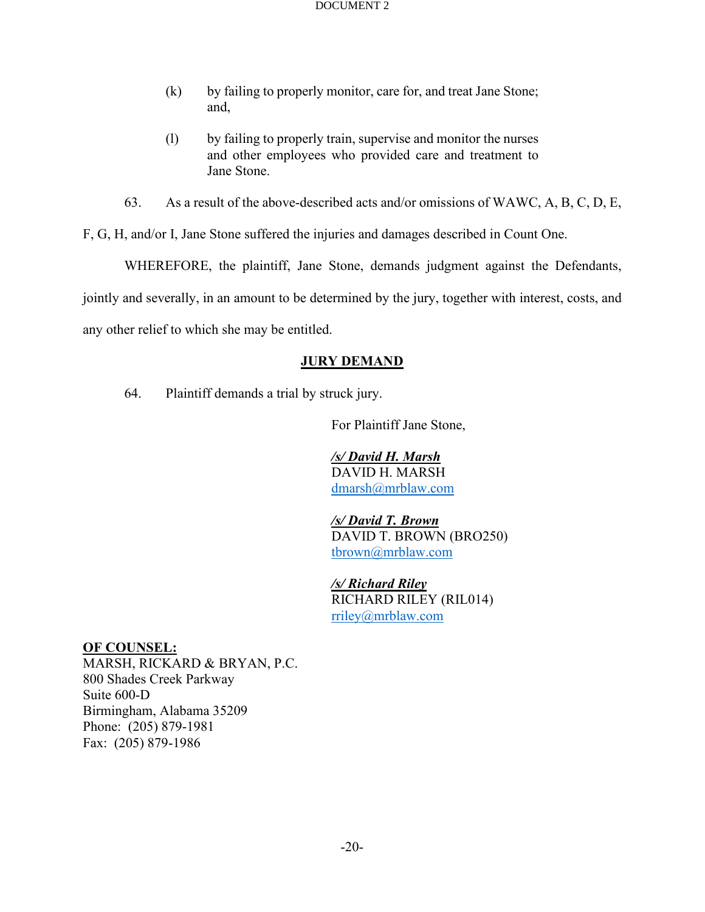- (k) by failing to properly monitor, care for, and treat Jane Stone; and,
- (l) by failing to properly train, supervise and monitor the nurses and other employees who provided care and treatment to Jane Stone.
- 63. As a result of the above-described acts and/or omissions of WAWC, A, B, C, D, E,

F, G, H, and/or I, Jane Stone suffered the injuries and damages described in Count One.

WHEREFORE, the plaintiff, Jane Stone, demands judgment against the Defendants,

jointly and severally, in an amount to be determined by the jury, together with interest, costs, and

any other relief to which she may be entitled.

# **JURY DEMAND**

64. Plaintiff demands a trial by struck jury.

For Plaintiff Jane Stone,

*/s/ David H. Marsh* DAVID H. MARSH [dmarsh@mrblaw.com](mailto:dmarsh@mrblaw.com)

*/s/ David T. Brown* DAVID T. BROWN (BRO250) [tbrown@mrblaw.com](mailto:tbrown@mrblaw.com)

*/s/ Richard Riley* RICHARD RILEY (RIL014) [rriley@mrblaw.com](mailto:rriley@mrblaw.com)

**OF COUNSEL:** MARSH, RICKARD & BRYAN, P.C. 800 Shades Creek Parkway Suite 600-D Birmingham, Alabama 35209 Phone: (205) 879-1981 Fax: (205) 879-1986